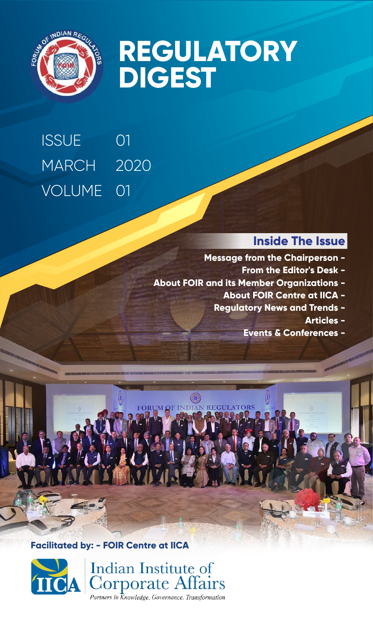

# **REGULATORY DIGEST**

## 01 2020 MARCH VOLUME 01 **ISSUE**

### **Inside The Issue**

- **Message from the Chairperson -**
	- **From the Editor's Desk -**
- **About FOIR and its Member Organizations -**
	- **About FOIR Centre at IICA -**
	- **Regulatory News and Trends -**
		- **Articles -**
		- **Events & Conferences -**



**Facilitated by: - FOIR Centre at IICA**



Indian Institute of **Corporate Affairs** Partners in  $\overline{k}$ nowledge. Governance. Transformation.